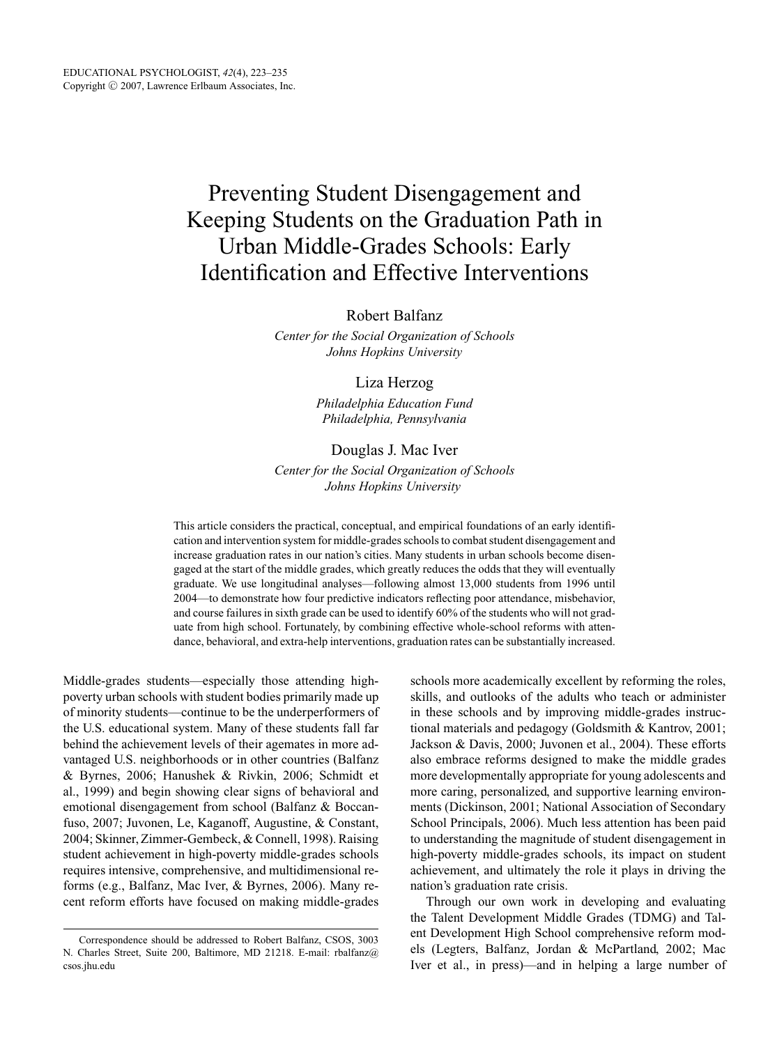# Preventing Student Disengagement and Keeping Students on the Graduation Path in Urban Middle-Grades Schools: Early Identification and Effective Interventions

# Robert Balfanz

*Center for the Social Organization of Schools Johns Hopkins University*

## Liza Herzog

*Philadelphia Education Fund Philadelphia, Pennsylvania*

## Douglas J. Mac Iver

*Center for the Social Organization of Schools Johns Hopkins University*

This article considers the practical, conceptual, and empirical foundations of an early identification and intervention system for middle-grades schools to combat student disengagement and increase graduation rates in our nation's cities. Many students in urban schools become disengaged at the start of the middle grades, which greatly reduces the odds that they will eventually graduate. We use longitudinal analyses—following almost 13,000 students from 1996 until 2004—to demonstrate how four predictive indicators reflecting poor attendance, misbehavior, and course failures in sixth grade can be used to identify 60% of the students who will not graduate from high school. Fortunately, by combining effective whole-school reforms with attendance, behavioral, and extra-help interventions, graduation rates can be substantially increased.

Middle-grades students—especially those attending highpoverty urban schools with student bodies primarily made up of minority students—continue to be the underperformers of the U.S. educational system. Many of these students fall far behind the achievement levels of their agemates in more advantaged U.S. neighborhoods or in other countries (Balfanz & Byrnes, 2006; Hanushek & Rivkin, 2006; Schmidt et al., 1999) and begin showing clear signs of behavioral and emotional disengagement from school (Balfanz & Boccanfuso, 2007; Juvonen, Le, Kaganoff, Augustine, & Constant, 2004; Skinner, Zimmer-Gembeck, & Connell, 1998). Raising student achievement in high-poverty middle-grades schools requires intensive, comprehensive, and multidimensional reforms (e.g., Balfanz, Mac Iver, & Byrnes, 2006). Many recent reform efforts have focused on making middle-grades schools more academically excellent by reforming the roles, skills, and outlooks of the adults who teach or administer in these schools and by improving middle-grades instructional materials and pedagogy (Goldsmith & Kantrov, 2001; Jackson & Davis, 2000; Juvonen et al., 2004). These efforts also embrace reforms designed to make the middle grades more developmentally appropriate for young adolescents and more caring, personalized, and supportive learning environments (Dickinson, 2001; National Association of Secondary School Principals, 2006). Much less attention has been paid to understanding the magnitude of student disengagement in high-poverty middle-grades schools, its impact on student achievement, and ultimately the role it plays in driving the nation's graduation rate crisis.

Through our own work in developing and evaluating the Talent Development Middle Grades (TDMG) and Talent Development High School comprehensive reform models (Legters, Balfanz, Jordan & McPartland, 2002; Mac Iver et al., in press)—and in helping a large number of

Correspondence should be addressed to Robert Balfanz, CSOS, 3003 N. Charles Street, Suite 200, Baltimore, MD 21218. E-mail: rbalfanz@ csos.jhu.edu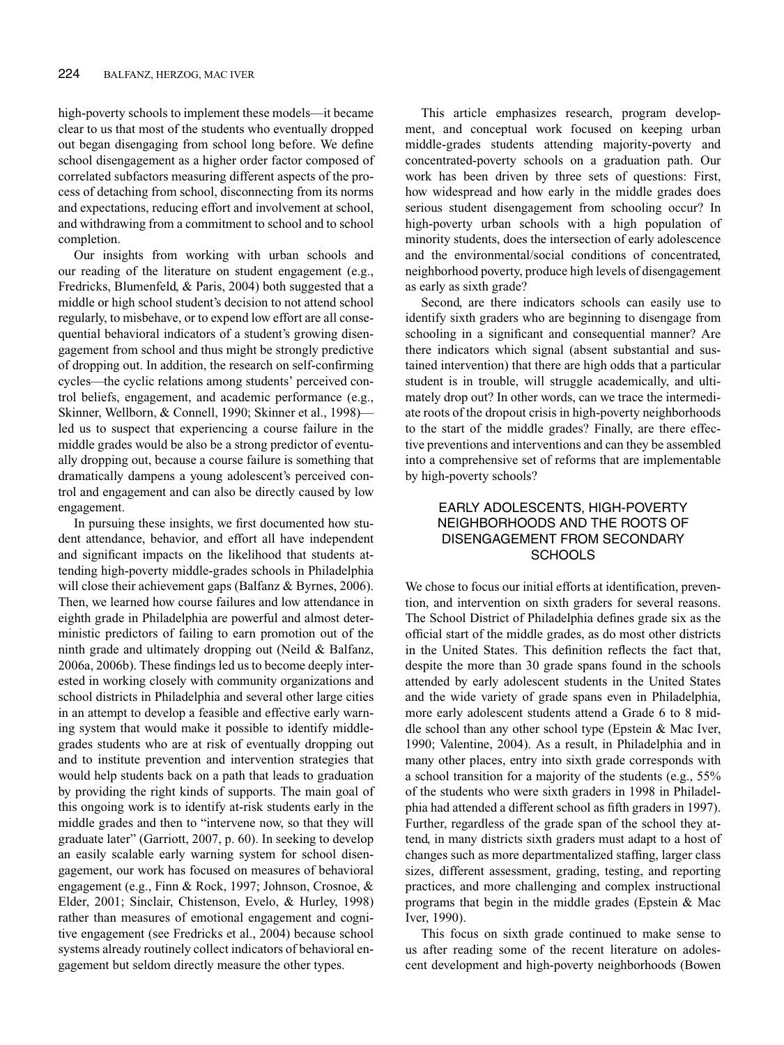high-poverty schools to implement these models—it became clear to us that most of the students who eventually dropped out began disengaging from school long before. We define school disengagement as a higher order factor composed of correlated subfactors measuring different aspects of the process of detaching from school, disconnecting from its norms and expectations, reducing effort and involvement at school, and withdrawing from a commitment to school and to school completion.

Our insights from working with urban schools and our reading of the literature on student engagement (e.g., Fredricks, Blumenfeld, & Paris, 2004) both suggested that a middle or high school student's decision to not attend school regularly, to misbehave, or to expend low effort are all consequential behavioral indicators of a student's growing disengagement from school and thus might be strongly predictive of dropping out. In addition, the research on self-confirming cycles—the cyclic relations among students' perceived control beliefs, engagement, and academic performance (e.g., Skinner, Wellborn, & Connell, 1990; Skinner et al., 1998) led us to suspect that experiencing a course failure in the middle grades would be also be a strong predictor of eventually dropping out, because a course failure is something that dramatically dampens a young adolescent's perceived control and engagement and can also be directly caused by low engagement.

In pursuing these insights, we first documented how student attendance, behavior, and effort all have independent and significant impacts on the likelihood that students attending high-poverty middle-grades schools in Philadelphia will close their achievement gaps (Balfanz & Byrnes, 2006). Then, we learned how course failures and low attendance in eighth grade in Philadelphia are powerful and almost deterministic predictors of failing to earn promotion out of the ninth grade and ultimately dropping out (Neild & Balfanz, 2006a, 2006b). These findings led us to become deeply interested in working closely with community organizations and school districts in Philadelphia and several other large cities in an attempt to develop a feasible and effective early warning system that would make it possible to identify middlegrades students who are at risk of eventually dropping out and to institute prevention and intervention strategies that would help students back on a path that leads to graduation by providing the right kinds of supports. The main goal of this ongoing work is to identify at-risk students early in the middle grades and then to "intervene now, so that they will graduate later" (Garriott, 2007, p. 60). In seeking to develop an easily scalable early warning system for school disengagement, our work has focused on measures of behavioral engagement (e.g., Finn & Rock, 1997; Johnson, Crosnoe, & Elder, 2001; Sinclair, Chistenson, Evelo, & Hurley, 1998) rather than measures of emotional engagement and cognitive engagement (see Fredricks et al., 2004) because school systems already routinely collect indicators of behavioral engagement but seldom directly measure the other types.

This article emphasizes research, program development, and conceptual work focused on keeping urban middle-grades students attending majority-poverty and concentrated-poverty schools on a graduation path. Our work has been driven by three sets of questions: First, how widespread and how early in the middle grades does serious student disengagement from schooling occur? In high-poverty urban schools with a high population of minority students, does the intersection of early adolescence and the environmental/social conditions of concentrated, neighborhood poverty, produce high levels of disengagement as early as sixth grade?

Second, are there indicators schools can easily use to identify sixth graders who are beginning to disengage from schooling in a significant and consequential manner? Are there indicators which signal (absent substantial and sustained intervention) that there are high odds that a particular student is in trouble, will struggle academically, and ultimately drop out? In other words, can we trace the intermediate roots of the dropout crisis in high-poverty neighborhoods to the start of the middle grades? Finally, are there effective preventions and interventions and can they be assembled into a comprehensive set of reforms that are implementable by high-poverty schools?

# EARLY ADOLESCENTS, HIGH-POVERTY NEIGHBORHOODS AND THE ROOTS OF DISENGAGEMENT FROM SECONDARY **SCHOOLS**

We chose to focus our initial efforts at identification, prevention, and intervention on sixth graders for several reasons. The School District of Philadelphia defines grade six as the official start of the middle grades, as do most other districts in the United States. This definition reflects the fact that, despite the more than 30 grade spans found in the schools attended by early adolescent students in the United States and the wide variety of grade spans even in Philadelphia, more early adolescent students attend a Grade 6 to 8 middle school than any other school type (Epstein & Mac Iver, 1990; Valentine, 2004). As a result, in Philadelphia and in many other places, entry into sixth grade corresponds with a school transition for a majority of the students (e.g., 55% of the students who were sixth graders in 1998 in Philadelphia had attended a different school as fifth graders in 1997). Further, regardless of the grade span of the school they attend, in many districts sixth graders must adapt to a host of changes such as more departmentalized staffing, larger class sizes, different assessment, grading, testing, and reporting practices, and more challenging and complex instructional programs that begin in the middle grades (Epstein & Mac Iver, 1990).

This focus on sixth grade continued to make sense to us after reading some of the recent literature on adolescent development and high-poverty neighborhoods (Bowen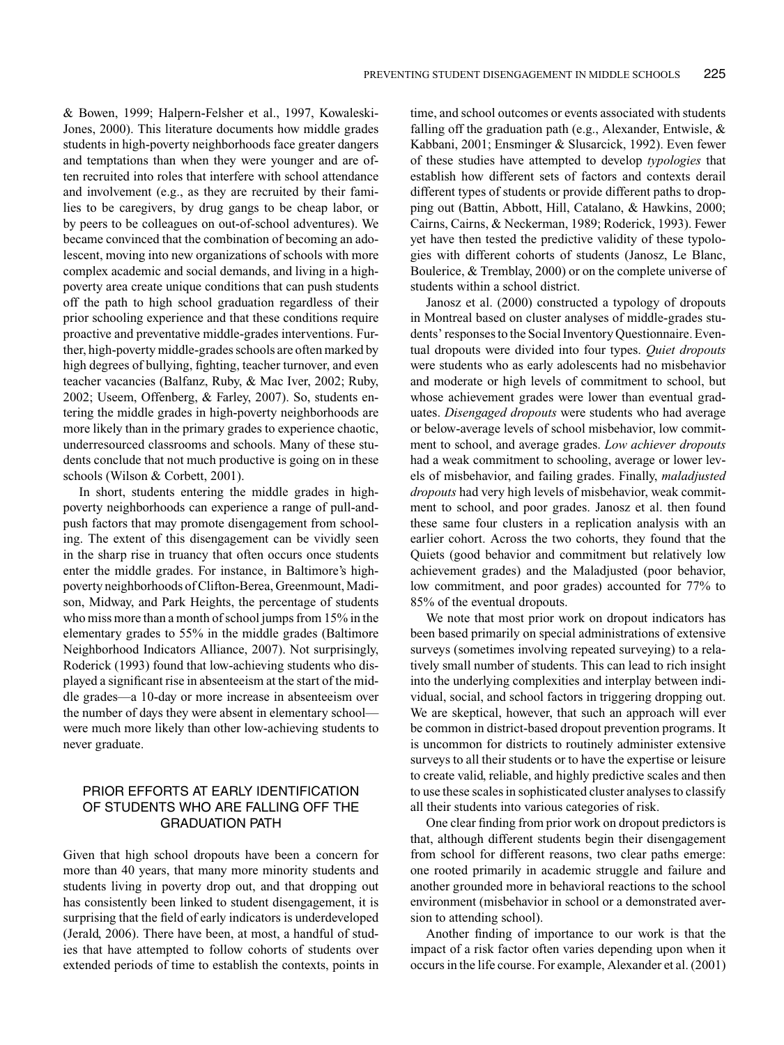& Bowen, 1999; Halpern-Felsher et al., 1997, Kowaleski-Jones, 2000). This literature documents how middle grades students in high-poverty neighborhoods face greater dangers and temptations than when they were younger and are often recruited into roles that interfere with school attendance and involvement (e.g., as they are recruited by their families to be caregivers, by drug gangs to be cheap labor, or by peers to be colleagues on out-of-school adventures). We became convinced that the combination of becoming an adolescent, moving into new organizations of schools with more complex academic and social demands, and living in a highpoverty area create unique conditions that can push students off the path to high school graduation regardless of their prior schooling experience and that these conditions require proactive and preventative middle-grades interventions. Further, high-poverty middle-grades schools are often marked by high degrees of bullying, fighting, teacher turnover, and even teacher vacancies (Balfanz, Ruby, & Mac Iver, 2002; Ruby, 2002; Useem, Offenberg, & Farley, 2007). So, students entering the middle grades in high-poverty neighborhoods are more likely than in the primary grades to experience chaotic, underresourced classrooms and schools. Many of these students conclude that not much productive is going on in these schools (Wilson & Corbett, 2001).

In short, students entering the middle grades in highpoverty neighborhoods can experience a range of pull-andpush factors that may promote disengagement from schooling. The extent of this disengagement can be vividly seen in the sharp rise in truancy that often occurs once students enter the middle grades. For instance, in Baltimore's highpoverty neighborhoods of Clifton-Berea, Greenmount, Madison, Midway, and Park Heights, the percentage of students who miss more than a month of school jumps from 15% in the elementary grades to 55% in the middle grades (Baltimore Neighborhood Indicators Alliance, 2007). Not surprisingly, Roderick (1993) found that low-achieving students who displayed a significant rise in absenteeism at the start of the middle grades—a 10-day or more increase in absenteeism over the number of days they were absent in elementary school were much more likely than other low-achieving students to never graduate.

# PRIOR EFFORTS AT EARLY IDENTIFICATION OF STUDENTS WHO ARE FALLING OFF THE GRADUATION PATH

Given that high school dropouts have been a concern for more than 40 years, that many more minority students and students living in poverty drop out, and that dropping out has consistently been linked to student disengagement, it is surprising that the field of early indicators is underdeveloped (Jerald, 2006). There have been, at most, a handful of studies that have attempted to follow cohorts of students over extended periods of time to establish the contexts, points in time, and school outcomes or events associated with students falling off the graduation path (e.g., Alexander, Entwisle, & Kabbani, 2001; Ensminger & Slusarcick, 1992). Even fewer of these studies have attempted to develop *typologies* that establish how different sets of factors and contexts derail different types of students or provide different paths to dropping out (Battin, Abbott, Hill, Catalano, & Hawkins, 2000; Cairns, Cairns, & Neckerman, 1989; Roderick, 1993). Fewer yet have then tested the predictive validity of these typologies with different cohorts of students (Janosz, Le Blanc, Boulerice, & Tremblay, 2000) or on the complete universe of students within a school district.

Janosz et al. (2000) constructed a typology of dropouts in Montreal based on cluster analyses of middle-grades students' responses to the Social Inventory Questionnaire. Eventual dropouts were divided into four types. *Quiet dropouts* were students who as early adolescents had no misbehavior and moderate or high levels of commitment to school, but whose achievement grades were lower than eventual graduates. *Disengaged dropouts* were students who had average or below-average levels of school misbehavior, low commitment to school, and average grades. *Low achiever dropouts* had a weak commitment to schooling, average or lower levels of misbehavior, and failing grades. Finally, *maladjusted dropouts* had very high levels of misbehavior, weak commitment to school, and poor grades. Janosz et al. then found these same four clusters in a replication analysis with an earlier cohort. Across the two cohorts, they found that the Quiets (good behavior and commitment but relatively low achievement grades) and the Maladjusted (poor behavior, low commitment, and poor grades) accounted for 77% to 85% of the eventual dropouts.

We note that most prior work on dropout indicators has been based primarily on special administrations of extensive surveys (sometimes involving repeated surveying) to a relatively small number of students. This can lead to rich insight into the underlying complexities and interplay between individual, social, and school factors in triggering dropping out. We are skeptical, however, that such an approach will ever be common in district-based dropout prevention programs. It is uncommon for districts to routinely administer extensive surveys to all their students or to have the expertise or leisure to create valid, reliable, and highly predictive scales and then to use these scales in sophisticated cluster analyses to classify all their students into various categories of risk.

One clear finding from prior work on dropout predictors is that, although different students begin their disengagement from school for different reasons, two clear paths emerge: one rooted primarily in academic struggle and failure and another grounded more in behavioral reactions to the school environment (misbehavior in school or a demonstrated aversion to attending school).

Another finding of importance to our work is that the impact of a risk factor often varies depending upon when it occurs in the life course. For example, Alexander et al. (2001)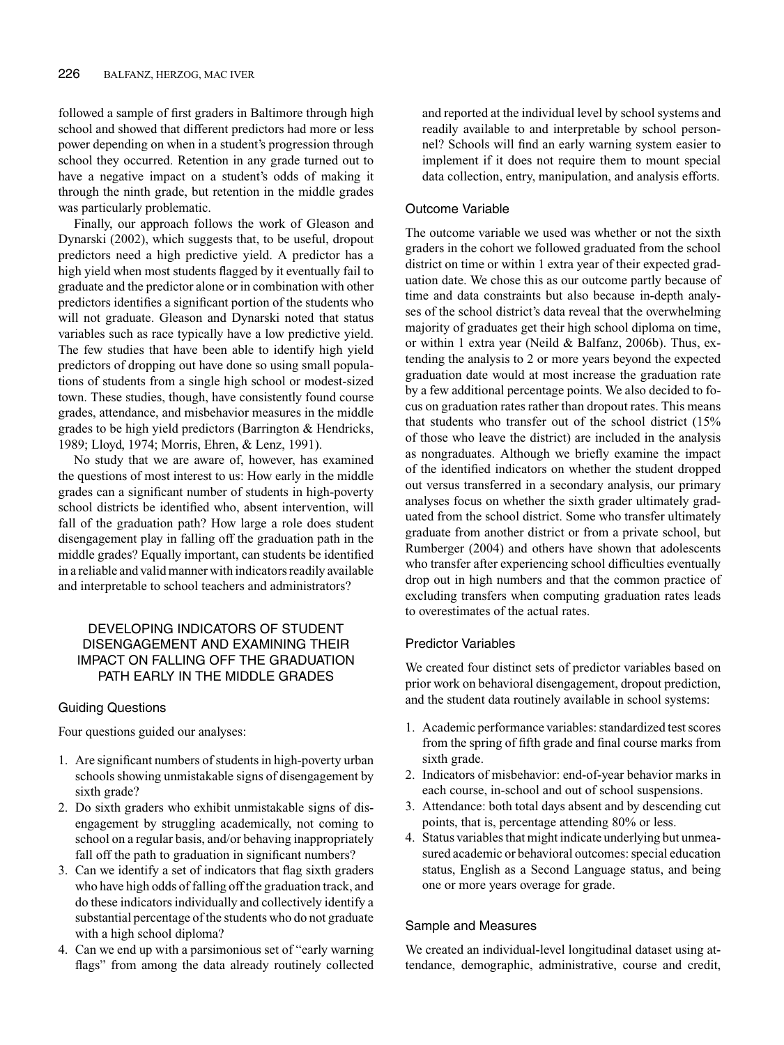followed a sample of first graders in Baltimore through high school and showed that different predictors had more or less power depending on when in a student's progression through school they occurred. Retention in any grade turned out to have a negative impact on a student's odds of making it through the ninth grade, but retention in the middle grades was particularly problematic.

Finally, our approach follows the work of Gleason and Dynarski (2002), which suggests that, to be useful, dropout predictors need a high predictive yield. A predictor has a high yield when most students flagged by it eventually fail to graduate and the predictor alone or in combination with other predictors identifies a significant portion of the students who will not graduate. Gleason and Dynarski noted that status variables such as race typically have a low predictive yield. The few studies that have been able to identify high yield predictors of dropping out have done so using small populations of students from a single high school or modest-sized town. These studies, though, have consistently found course grades, attendance, and misbehavior measures in the middle grades to be high yield predictors (Barrington & Hendricks, 1989; Lloyd, 1974; Morris, Ehren, & Lenz, 1991).

No study that we are aware of, however, has examined the questions of most interest to us: How early in the middle grades can a significant number of students in high-poverty school districts be identified who, absent intervention, will fall of the graduation path? How large a role does student disengagement play in falling off the graduation path in the middle grades? Equally important, can students be identified in a reliable and valid manner with indicators readily available and interpretable to school teachers and administrators?

# DEVELOPING INDICATORS OF STUDENT DISENGAGEMENT AND EXAMINING THEIR IMPACT ON FALLING OFF THE GRADUATION PATH EARLY IN THE MIDDLE GRADES

## Guiding Questions

Four questions guided our analyses:

- 1. Are significant numbers of students in high-poverty urban schools showing unmistakable signs of disengagement by sixth grade?
- 2. Do sixth graders who exhibit unmistakable signs of disengagement by struggling academically, not coming to school on a regular basis, and/or behaving inappropriately fall off the path to graduation in significant numbers?
- 3. Can we identify a set of indicators that flag sixth graders who have high odds of falling off the graduation track, and do these indicators individually and collectively identify a substantial percentage of the students who do not graduate with a high school diploma?
- 4. Can we end up with a parsimonious set of "early warning flags" from among the data already routinely collected

and reported at the individual level by school systems and readily available to and interpretable by school personnel? Schools will find an early warning system easier to implement if it does not require them to mount special data collection, entry, manipulation, and analysis efforts.

### Outcome Variable

The outcome variable we used was whether or not the sixth graders in the cohort we followed graduated from the school district on time or within 1 extra year of their expected graduation date. We chose this as our outcome partly because of time and data constraints but also because in-depth analyses of the school district's data reveal that the overwhelming majority of graduates get their high school diploma on time, or within 1 extra year (Neild & Balfanz, 2006b). Thus, extending the analysis to 2 or more years beyond the expected graduation date would at most increase the graduation rate by a few additional percentage points. We also decided to focus on graduation rates rather than dropout rates. This means that students who transfer out of the school district (15% of those who leave the district) are included in the analysis as nongraduates. Although we briefly examine the impact of the identified indicators on whether the student dropped out versus transferred in a secondary analysis, our primary analyses focus on whether the sixth grader ultimately graduated from the school district. Some who transfer ultimately graduate from another district or from a private school, but Rumberger (2004) and others have shown that adolescents who transfer after experiencing school difficulties eventually drop out in high numbers and that the common practice of excluding transfers when computing graduation rates leads to overestimates of the actual rates.

## Predictor Variables

We created four distinct sets of predictor variables based on prior work on behavioral disengagement, dropout prediction, and the student data routinely available in school systems:

- 1. Academic performance variables: standardized test scores from the spring of fifth grade and final course marks from sixth grade.
- 2. Indicators of misbehavior: end-of-year behavior marks in each course, in-school and out of school suspensions.
- 3. Attendance: both total days absent and by descending cut points, that is, percentage attending 80% or less.
- 4. Status variables that might indicate underlying but unmeasured academic or behavioral outcomes: special education status, English as a Second Language status, and being one or more years overage for grade.

#### Sample and Measures

We created an individual-level longitudinal dataset using attendance, demographic, administrative, course and credit,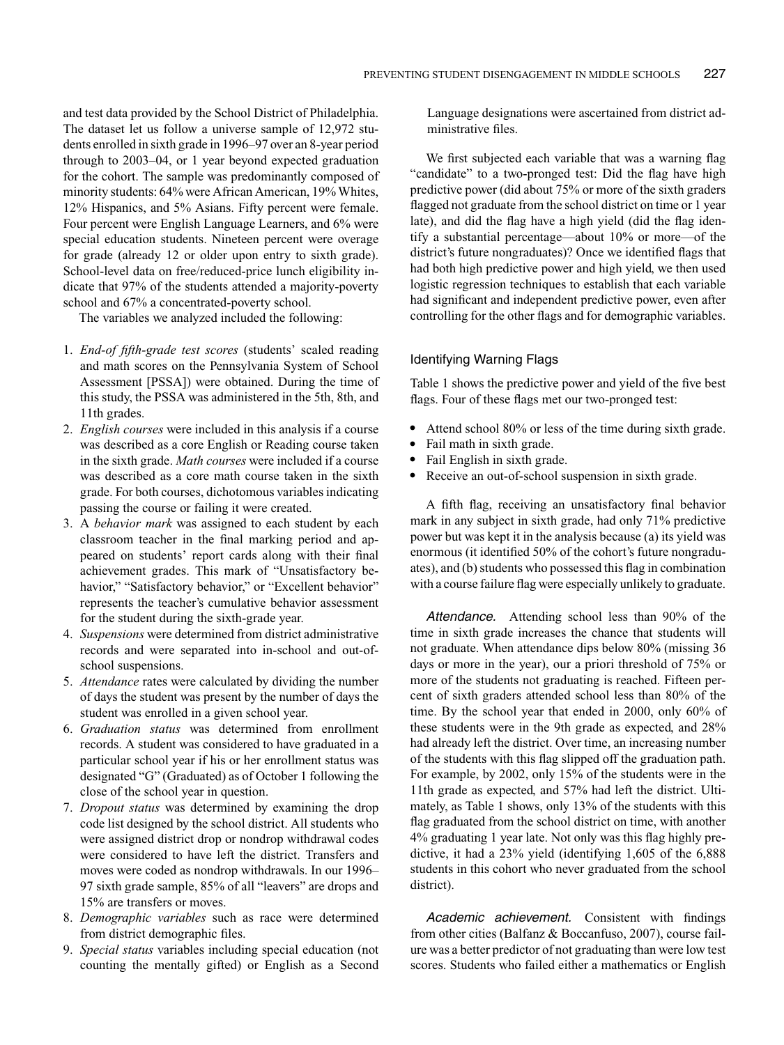and test data provided by the School District of Philadelphia. The dataset let us follow a universe sample of 12,972 students enrolled in sixth grade in 1996–97 over an 8-year period through to 2003–04, or 1 year beyond expected graduation for the cohort. The sample was predominantly composed of minority students: 64% were African American, 19% Whites, 12% Hispanics, and 5% Asians. Fifty percent were female. Four percent were English Language Learners, and 6% were special education students. Nineteen percent were overage for grade (already 12 or older upon entry to sixth grade). School-level data on free/reduced-price lunch eligibility indicate that 97% of the students attended a majority-poverty school and 67% a concentrated-poverty school.

The variables we analyzed included the following:

- 1. *End-of fifth-grade test scores* (students' scaled reading and math scores on the Pennsylvania System of School Assessment [PSSA]) were obtained. During the time of this study, the PSSA was administered in the 5th, 8th, and 11th grades.
- 2. *English courses* were included in this analysis if a course was described as a core English or Reading course taken in the sixth grade. *Math courses* were included if a course was described as a core math course taken in the sixth grade. For both courses, dichotomous variables indicating passing the course or failing it were created.
- 3. A *behavior mark* was assigned to each student by each classroom teacher in the final marking period and appeared on students' report cards along with their final achievement grades. This mark of "Unsatisfactory behavior," "Satisfactory behavior," or "Excellent behavior" represents the teacher's cumulative behavior assessment for the student during the sixth-grade year.
- 4. *Suspensions* were determined from district administrative records and were separated into in-school and out-ofschool suspensions.
- 5. *Attendance* rates were calculated by dividing the number of days the student was present by the number of days the student was enrolled in a given school year.
- 6. *Graduation status* was determined from enrollment records. A student was considered to have graduated in a particular school year if his or her enrollment status was designated "G" (Graduated) as of October 1 following the close of the school year in question.
- 7. *Dropout status* was determined by examining the drop code list designed by the school district. All students who were assigned district drop or nondrop withdrawal codes were considered to have left the district. Transfers and moves were coded as nondrop withdrawals. In our 1996– 97 sixth grade sample, 85% of all "leavers" are drops and 15% are transfers or moves.
- 8. *Demographic variables* such as race were determined from district demographic files.
- 9. *Special status* variables including special education (not counting the mentally gifted) or English as a Second

Language designations were ascertained from district administrative files.

We first subjected each variable that was a warning flag "candidate" to a two-pronged test: Did the flag have high predictive power (did about 75% or more of the sixth graders flagged not graduate from the school district on time or 1 year late), and did the flag have a high yield (did the flag identify a substantial percentage—about 10% or more—of the district's future nongraduates)? Once we identified flags that had both high predictive power and high yield, we then used logistic regression techniques to establish that each variable had significant and independent predictive power, even after controlling for the other flags and for demographic variables.

# Identifying Warning Flags

Table 1 shows the predictive power and yield of the five best flags. Four of these flags met our two-pronged test:

- Attend school 80% or less of the time during sixth grade.
- 
- 
- Fail math in sixth grade.<br>
Fail English in sixth grade.<br>
Receive an out-of-school suspension in sixth grade.

A fifth flag, receiving an unsatisfactory final behavior mark in any subject in sixth grade, had only 71% predictive power but was kept it in the analysis because (a) its yield was enormous (it identified 50% of the cohort's future nongraduates), and (b) students who possessed this flag in combination with a course failure flag were especially unlikely to graduate.

Attendance. Attending school less than 90% of the time in sixth grade increases the chance that students will not graduate. When attendance dips below 80% (missing 36 days or more in the year), our a priori threshold of 75% or more of the students not graduating is reached. Fifteen percent of sixth graders attended school less than 80% of the time. By the school year that ended in 2000, only 60% of these students were in the 9th grade as expected, and 28% had already left the district. Over time, an increasing number of the students with this flag slipped off the graduation path. For example, by 2002, only 15% of the students were in the 11th grade as expected, and 57% had left the district. Ultimately, as Table 1 shows, only 13% of the students with this flag graduated from the school district on time, with another 4% graduating 1 year late. Not only was this flag highly predictive, it had a 23% yield (identifying 1,605 of the 6,888 students in this cohort who never graduated from the school district).

Academic achievement. Consistent with findings from other cities (Balfanz & Boccanfuso, 2007), course failure was a better predictor of not graduating than were low test scores. Students who failed either a mathematics or English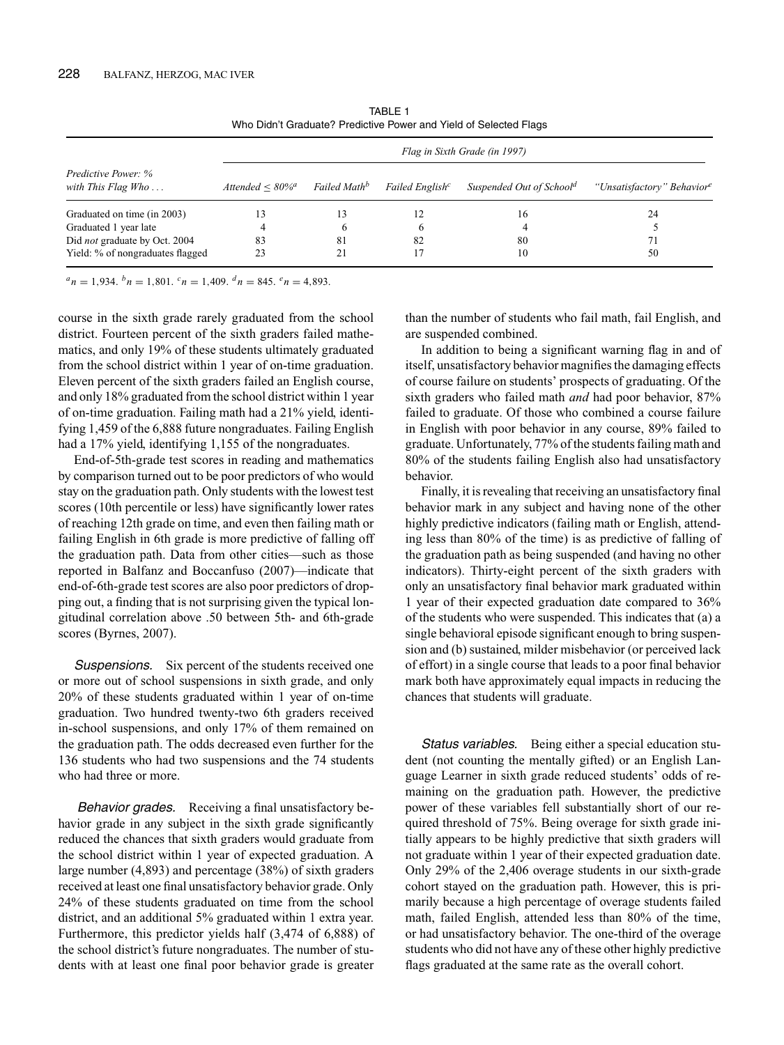| Predictive Power: %<br>with This Flag $W$ ho | <u>WILD Digit Latituding: Fiedictive Fowel and Tield of Selected Fiags</u><br>Flag in Sixth Grade (in 1997) |                          |                             |                                      |                                        |  |
|----------------------------------------------|-------------------------------------------------------------------------------------------------------------|--------------------------|-----------------------------|--------------------------------------|----------------------------------------|--|
|                                              | Attended $\leq 80\%$ <sup>a</sup>                                                                           | Failed Math <sup>b</sup> | Failed English <sup>c</sup> | Suspended Out of School <sup>d</sup> | "Unsatisfactory" Behavior <sup>e</sup> |  |
| Graduated on time (in 2003)                  | 13                                                                                                          | 13                       |                             | 16                                   | 24                                     |  |
| Graduated 1 year late                        | 4                                                                                                           | <sub>(</sub>             |                             |                                      |                                        |  |
| Did <i>not</i> graduate by Oct. 2004         | 83                                                                                                          | 81                       | 82                          | 80                                   |                                        |  |
| Yield: % of nongraduates flagged             | 23                                                                                                          |                          |                             | 10                                   | 50                                     |  |

TABLE 1 Who Didn't Graduate? Predictive Power and Yield of Selected Flags

 $a_n = 1,934$ .  $b_n = 1,801$ .  $c_n = 1,409$ .  $d_n = 845$ .  $e_n = 4,893$ .

course in the sixth grade rarely graduated from the school district. Fourteen percent of the sixth graders failed mathematics, and only 19% of these students ultimately graduated from the school district within 1 year of on-time graduation. Eleven percent of the sixth graders failed an English course, and only 18% graduated from the school district within 1 year of on-time graduation. Failing math had a 21% yield, identifying 1,459 of the 6,888 future nongraduates. Failing English had a 17% yield, identifying 1,155 of the nongraduates.

End-of-5th-grade test scores in reading and mathematics by comparison turned out to be poor predictors of who would stay on the graduation path. Only students with the lowest test scores (10th percentile or less) have significantly lower rates of reaching 12th grade on time, and even then failing math or failing English in 6th grade is more predictive of falling off the graduation path. Data from other cities—such as those reported in Balfanz and Boccanfuso (2007)—indicate that end-of-6th-grade test scores are also poor predictors of dropping out, a finding that is not surprising given the typical longitudinal correlation above .50 between 5th- and 6th-grade scores (Byrnes, 2007).

Suspensions. Six percent of the students received one or more out of school suspensions in sixth grade, and only 20% of these students graduated within 1 year of on-time graduation. Two hundred twenty-two 6th graders received in-school suspensions, and only 17% of them remained on the graduation path. The odds decreased even further for the 136 students who had two suspensions and the 74 students who had three or more.

Behavior grades. Receiving a final unsatisfactory behavior grade in any subject in the sixth grade significantly reduced the chances that sixth graders would graduate from the school district within 1 year of expected graduation. A large number (4,893) and percentage (38%) of sixth graders received at least one final unsatisfactory behavior grade. Only 24% of these students graduated on time from the school district, and an additional 5% graduated within 1 extra year. Furthermore, this predictor yields half (3,474 of 6,888) of the school district's future nongraduates. The number of students with at least one final poor behavior grade is greater

than the number of students who fail math, fail English, and are suspended combined.

In addition to being a significant warning flag in and of itself, unsatisfactory behavior magnifies the damaging effects of course failure on students' prospects of graduating. Of the sixth graders who failed math *and* had poor behavior, 87% failed to graduate. Of those who combined a course failure in English with poor behavior in any course, 89% failed to graduate. Unfortunately, 77% of the students failing math and 80% of the students failing English also had unsatisfactory behavior.

Finally, it is revealing that receiving an unsatisfactory final behavior mark in any subject and having none of the other highly predictive indicators (failing math or English, attending less than 80% of the time) is as predictive of falling of the graduation path as being suspended (and having no other indicators). Thirty-eight percent of the sixth graders with only an unsatisfactory final behavior mark graduated within 1 year of their expected graduation date compared to 36% of the students who were suspended. This indicates that (a) a single behavioral episode significant enough to bring suspension and (b) sustained, milder misbehavior (or perceived lack of effort) in a single course that leads to a poor final behavior mark both have approximately equal impacts in reducing the chances that students will graduate.

Status variables. Being either a special education student (not counting the mentally gifted) or an English Language Learner in sixth grade reduced students' odds of remaining on the graduation path. However, the predictive power of these variables fell substantially short of our required threshold of 75%. Being overage for sixth grade initially appears to be highly predictive that sixth graders will not graduate within 1 year of their expected graduation date. Only 29% of the 2,406 overage students in our sixth-grade cohort stayed on the graduation path. However, this is primarily because a high percentage of overage students failed math, failed English, attended less than 80% of the time, or had unsatisfactory behavior. The one-third of the overage students who did not have any of these other highly predictive flags graduated at the same rate as the overall cohort.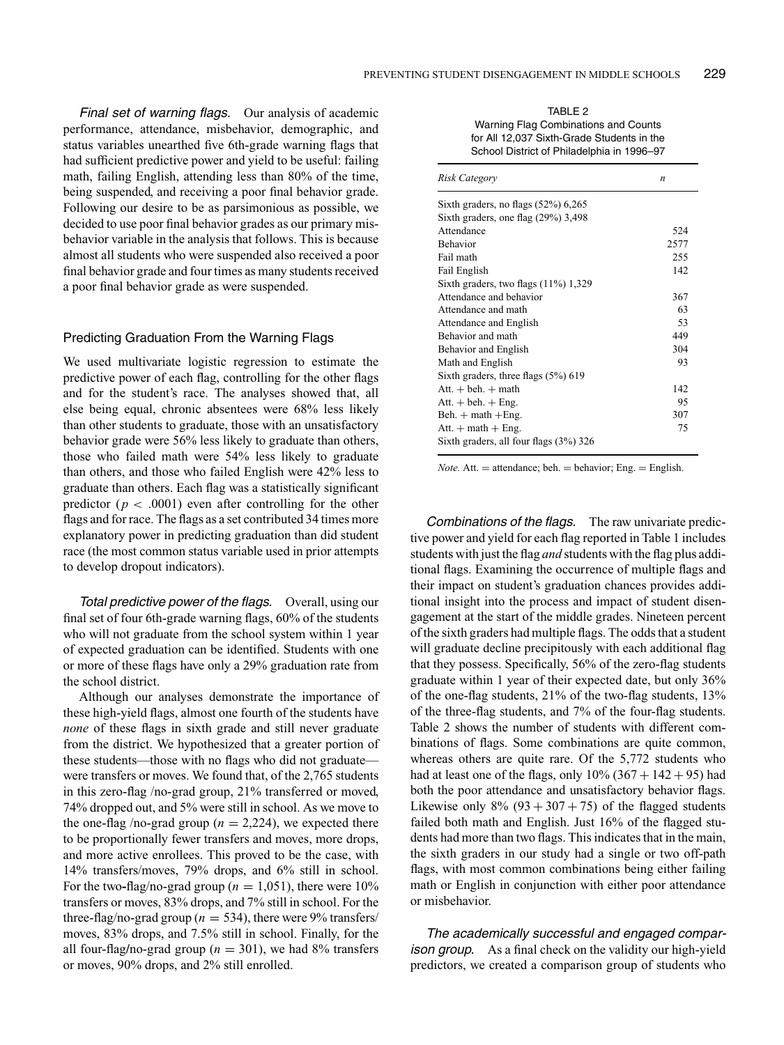Final set of warning flags. Our analysis of academic performance, attendance, misbehavior, demographic, and status variables unearthed five 6th-grade warning flags that had sufficient predictive power and yield to be useful: failing math, failing English, attending less than 80% of the time, being suspended, and receiving a poor final behavior grade. Following our desire to be as parsimonious as possible, we decided to use poor final behavior grades as our primary misbehavior variable in the analysis that follows. This is because almost all students who were suspended also received a poor final behavior grade and four times as many students received a poor final behavior grade as were suspended.

#### Predicting Graduation From the Warning Flags

We used multivariate logistic regression to estimate the predictive power of each flag, controlling for the other flags and for the student's race. The analyses showed that, all else being equal, chronic absentees were 68% less likely than other students to graduate, those with an unsatisfactory behavior grade were 56% less likely to graduate than others, those who failed math were 54% less likely to graduate than others, and those who failed English were 42% less to graduate than others. Each flag was a statistically significant predictor ( $p < .0001$ ) even after controlling for the other flags and for race. The flags as a set contributed 34 times more explanatory power in predicting graduation than did student race (the most common status variable used in prior attempts to develop dropout indicators).

Total predictive power of the flags. Overall, using our final set of four 6th-grade warning flags, 60% of the students who will not graduate from the school system within 1 year of expected graduation can be identified. Students with one or more of these flags have only a 29% graduation rate from the school district.

Although our analyses demonstrate the importance of these high-yield flags, almost one fourth of the students have *none* of these flags in sixth grade and still never graduate from the district. We hypothesized that a greater portion of these students—those with no flags who did not graduate were transfers or moves. We found that, of the 2,765 students in this zero-flag /no-grad group, 21% transferred or moved, 74% dropped out, and 5% were still in school. As we move to the one-flag /no-grad group ( $n = 2,224$ ), we expected there to be proportionally fewer transfers and moves, more drops, and more active enrollees. This proved to be the case, with 14% transfers/moves, 79% drops, and 6% still in school. For the two-flag/no-grad group ( $n = 1,051$ ), there were 10% transfers or moves, 83% drops, and 7% still in school. For the three-flag/no-grad group ( $n = 534$ ), there were 9% transfers/ moves, 83% drops, and 7.5% still in school. Finally, for the all four-flag/no-grad group ( $n = 301$ ), we had 8% transfers or moves, 90% drops, and 2% still enrolled.

| TABLE 2                                    |
|--------------------------------------------|
| Warning Flag Combinations and Counts       |
| for All 12.037 Sixth-Grade Students in the |
| School District of Philadelphia in 1996-97 |

| Risk Category                           | $\boldsymbol{n}$ |
|-----------------------------------------|------------------|
| Sixth graders, no flags $(52\%)$ 6,265  |                  |
| Sixth graders, one flag $(29\%)$ 3,498  |                  |
| Attendance                              | 524              |
| <b>Behavior</b>                         | 2577             |
| Fail math                               | 255              |
| Fail English                            | 142              |
| Sixth graders, two flags $(11\%)$ 1,329 |                  |
| Attendance and behavior                 | 367              |
| Attendance and math                     | 63               |
| Attendance and English                  | 53               |
| Behavior and math                       | 449              |
| Behavior and English                    | 304              |
| Math and English                        | 93               |
| Sixth graders, three flags $(5\%)$ 619  |                  |
| Att. $+$ beh. $+$ math                  | 142              |
| Att. $+$ beh. $+$ Eng.                  | 95               |
| $Beh. + math + Eng.$                    | 307              |
| Att. $+$ math $+$ Eng.                  | 75               |
| Sixth graders, all four flags (3%) 326  |                  |

*Note.* Att. = attendance; beh. = behavior; Eng. = English.

Combinations of the flags. The raw univariate predictive power and yield for each flag reported in Table 1 includes students with just the flag *and* students with the flag plus additional flags. Examining the occurrence of multiple flags and their impact on student's graduation chances provides additional insight into the process and impact of student disengagement at the start of the middle grades. Nineteen percent of the sixth graders had multiple flags. The odds that a student will graduate decline precipitously with each additional flag that they possess. Specifically, 56% of the zero-flag students graduate within 1 year of their expected date, but only 36% of the one-flag students, 21% of the two-flag students, 13% of the three-flag students, and 7% of the four-flag students. Table 2 shows the number of students with different combinations of flags. Some combinations are quite common, whereas others are quite rare. Of the 5,772 students who had at least one of the flags, only  $10\%$  (367 + 142 + 95) had both the poor attendance and unsatisfactory behavior flags. Likewise only  $8\%$  (93 + 307 + 75) of the flagged students failed both math and English. Just 16% of the flagged students had more than two flags. This indicates that in the main, the sixth graders in our study had a single or two off-path flags, with most common combinations being either failing math or English in conjunction with either poor attendance or misbehavior.

The academically successful and engaged comparison group. As a final check on the validity our high-yield predictors, we created a comparison group of students who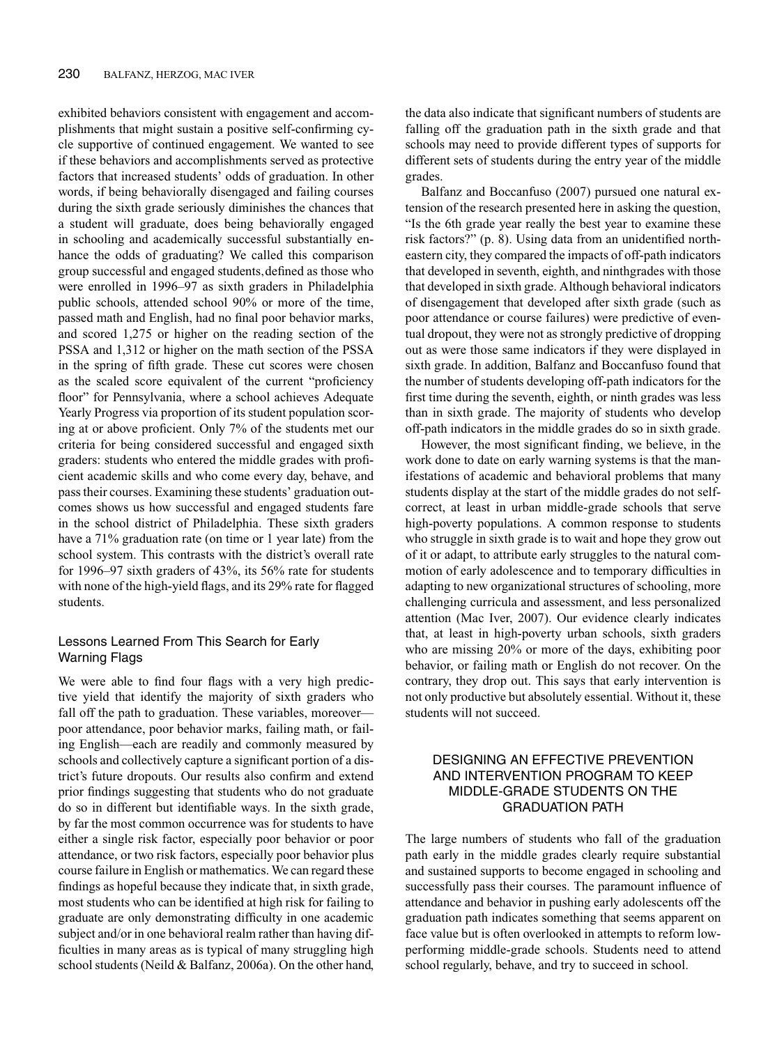exhibited behaviors consistent with engagement and accomplishments that might sustain a positive self-confirming cycle supportive of continued engagement. We wanted to see if these behaviors and accomplishments served as protective factors that increased students' odds of graduation. In other words, if being behaviorally disengaged and failing courses during the sixth grade seriously diminishes the chances that a student will graduate, does being behaviorally engaged in schooling and academically successful substantially enhance the odds of graduating? We called this comparison group successful and engaged students,defined as those who were enrolled in 1996–97 as sixth graders in Philadelphia public schools, attended school 90% or more of the time, passed math and English, had no final poor behavior marks, and scored 1,275 or higher on the reading section of the PSSA and 1,312 or higher on the math section of the PSSA in the spring of fifth grade. These cut scores were chosen as the scaled score equivalent of the current "proficiency floor" for Pennsylvania, where a school achieves Adequate Yearly Progress via proportion of its student population scoring at or above proficient. Only 7% of the students met our criteria for being considered successful and engaged sixth graders: students who entered the middle grades with proficient academic skills and who come every day, behave, and pass their courses. Examining these students' graduation outcomes shows us how successful and engaged students fare in the school district of Philadelphia. These sixth graders have a 71% graduation rate (on time or 1 year late) from the school system. This contrasts with the district's overall rate for 1996–97 sixth graders of 43%, its 56% rate for students with none of the high-yield flags, and its 29% rate for flagged students.

## Lessons Learned From This Search for Early Warning Flags

We were able to find four flags with a very high predictive yield that identify the majority of sixth graders who fall off the path to graduation. These variables, moreover poor attendance, poor behavior marks, failing math, or failing English—each are readily and commonly measured by schools and collectively capture a significant portion of a district's future dropouts. Our results also confirm and extend prior findings suggesting that students who do not graduate do so in different but identifiable ways. In the sixth grade, by far the most common occurrence was for students to have either a single risk factor, especially poor behavior or poor attendance, or two risk factors, especially poor behavior plus course failure in English or mathematics. We can regard these findings as hopeful because they indicate that, in sixth grade, most students who can be identified at high risk for failing to graduate are only demonstrating difficulty in one academic subject and/or in one behavioral realm rather than having difficulties in many areas as is typical of many struggling high school students (Neild & Balfanz, 2006a). On the other hand,

the data also indicate that significant numbers of students are falling off the graduation path in the sixth grade and that schools may need to provide different types of supports for different sets of students during the entry year of the middle grades.

Balfanz and Boccanfuso (2007) pursued one natural extension of the research presented here in asking the question, "Is the 6th grade year really the best year to examine these risk factors?" (p. 8). Using data from an unidentified northeastern city, they compared the impacts of off-path indicators that developed in seventh, eighth, and ninthgrades with those that developed in sixth grade. Although behavioral indicators of disengagement that developed after sixth grade (such as poor attendance or course failures) were predictive of eventual dropout, they were not as strongly predictive of dropping out as were those same indicators if they were displayed in sixth grade. In addition, Balfanz and Boccanfuso found that the number of students developing off-path indicators for the first time during the seventh, eighth, or ninth grades was less than in sixth grade. The majority of students who develop off-path indicators in the middle grades do so in sixth grade.

However, the most significant finding, we believe, in the work done to date on early warning systems is that the manifestations of academic and behavioral problems that many students display at the start of the middle grades do not selfcorrect, at least in urban middle-grade schools that serve high-poverty populations. A common response to students who struggle in sixth grade is to wait and hope they grow out of it or adapt, to attribute early struggles to the natural commotion of early adolescence and to temporary difficulties in adapting to new organizational structures of schooling, more challenging curricula and assessment, and less personalized attention (Mac Iver, 2007). Our evidence clearly indicates that, at least in high-poverty urban schools, sixth graders who are missing 20% or more of the days, exhibiting poor behavior, or failing math or English do not recover. On the contrary, they drop out. This says that early intervention is not only productive but absolutely essential. Without it, these students will not succeed.

# DESIGNING AN EFFECTIVE PREVENTION AND INTERVENTION PROGRAM TO KEEP MIDDLE-GRADE STUDENTS ON THE GRADUATION PATH

The large numbers of students who fall of the graduation path early in the middle grades clearly require substantial and sustained supports to become engaged in schooling and successfully pass their courses. The paramount influence of attendance and behavior in pushing early adolescents off the graduation path indicates something that seems apparent on face value but is often overlooked in attempts to reform lowperforming middle-grade schools. Students need to attend school regularly, behave, and try to succeed in school.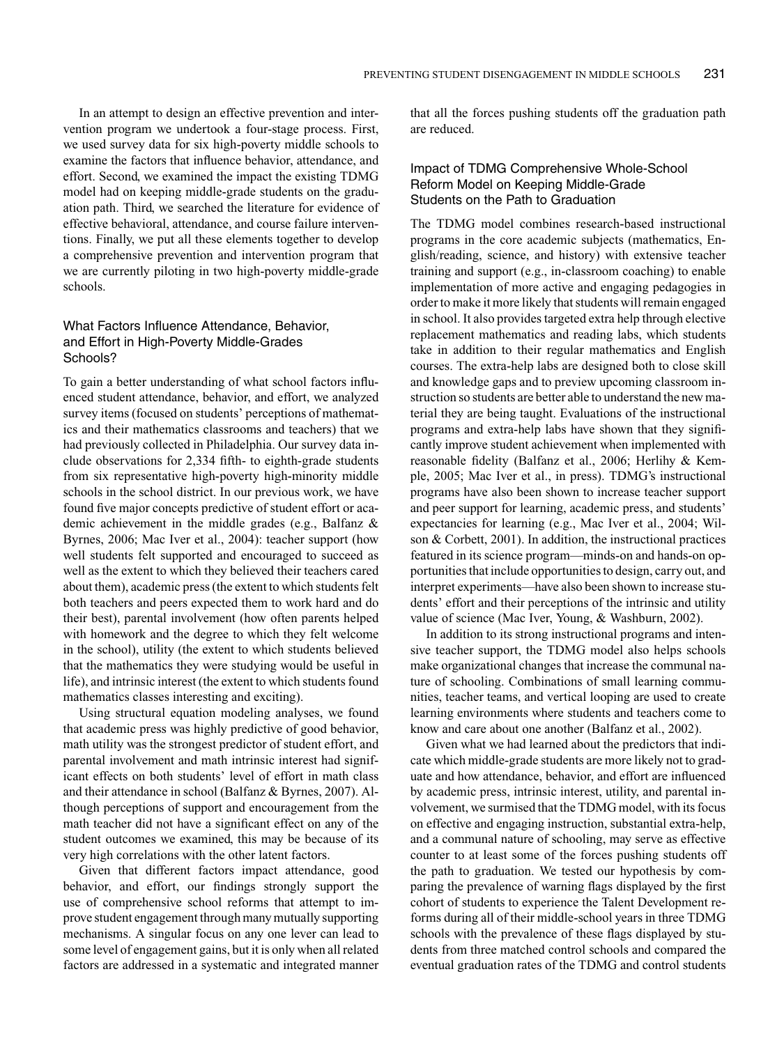In an attempt to design an effective prevention and intervention program we undertook a four-stage process. First, we used survey data for six high-poverty middle schools to examine the factors that influence behavior, attendance, and effort. Second, we examined the impact the existing TDMG model had on keeping middle-grade students on the graduation path. Third, we searched the literature for evidence of effective behavioral, attendance, and course failure interventions. Finally, we put all these elements together to develop a comprehensive prevention and intervention program that we are currently piloting in two high-poverty middle-grade schools.

# What Factors Influence Attendance, Behavior, and Effort in High-Poverty Middle-Grades Schools?

To gain a better understanding of what school factors influenced student attendance, behavior, and effort, we analyzed survey items (focused on students' perceptions of mathematics and their mathematics classrooms and teachers) that we had previously collected in Philadelphia. Our survey data include observations for 2,334 fifth- to eighth-grade students from six representative high-poverty high-minority middle schools in the school district. In our previous work, we have found five major concepts predictive of student effort or academic achievement in the middle grades (e.g., Balfanz & Byrnes, 2006; Mac Iver et al., 2004): teacher support (how well students felt supported and encouraged to succeed as well as the extent to which they believed their teachers cared about them), academic press (the extent to which students felt both teachers and peers expected them to work hard and do their best), parental involvement (how often parents helped with homework and the degree to which they felt welcome in the school), utility (the extent to which students believed that the mathematics they were studying would be useful in life), and intrinsic interest (the extent to which students found mathematics classes interesting and exciting).

Using structural equation modeling analyses, we found that academic press was highly predictive of good behavior, math utility was the strongest predictor of student effort, and parental involvement and math intrinsic interest had significant effects on both students' level of effort in math class and their attendance in school (Balfanz & Byrnes, 2007). Although perceptions of support and encouragement from the math teacher did not have a significant effect on any of the student outcomes we examined, this may be because of its very high correlations with the other latent factors.

Given that different factors impact attendance, good behavior, and effort, our findings strongly support the use of comprehensive school reforms that attempt to improve student engagement through many mutually supporting mechanisms. A singular focus on any one lever can lead to some level of engagement gains, but it is only when all related factors are addressed in a systematic and integrated manner that all the forces pushing students off the graduation path are reduced.

# Impact of TDMG Comprehensive Whole-School Reform Model on Keeping Middle-Grade Students on the Path to Graduation

The TDMG model combines research-based instructional programs in the core academic subjects (mathematics, English/reading, science, and history) with extensive teacher training and support (e.g., in-classroom coaching) to enable implementation of more active and engaging pedagogies in order to make it more likely that students will remain engaged in school. It also provides targeted extra help through elective replacement mathematics and reading labs, which students take in addition to their regular mathematics and English courses. The extra-help labs are designed both to close skill and knowledge gaps and to preview upcoming classroom instruction so students are better able to understand the new material they are being taught. Evaluations of the instructional programs and extra-help labs have shown that they significantly improve student achievement when implemented with reasonable fidelity (Balfanz et al., 2006; Herlihy & Kemple, 2005; Mac Iver et al., in press). TDMG's instructional programs have also been shown to increase teacher support and peer support for learning, academic press, and students' expectancies for learning (e.g., Mac Iver et al., 2004; Wilson & Corbett, 2001). In addition, the instructional practices featured in its science program—minds-on and hands-on opportunities that include opportunities to design, carry out, and interpret experiments—have also been shown to increase students' effort and their perceptions of the intrinsic and utility value of science (Mac Iver, Young, & Washburn, 2002).

In addition to its strong instructional programs and intensive teacher support, the TDMG model also helps schools make organizational changes that increase the communal nature of schooling. Combinations of small learning communities, teacher teams, and vertical looping are used to create learning environments where students and teachers come to know and care about one another (Balfanz et al., 2002).

Given what we had learned about the predictors that indicate which middle-grade students are more likely not to graduate and how attendance, behavior, and effort are influenced by academic press, intrinsic interest, utility, and parental involvement, we surmised that the TDMG model, with its focus on effective and engaging instruction, substantial extra-help, and a communal nature of schooling, may serve as effective counter to at least some of the forces pushing students off the path to graduation. We tested our hypothesis by comparing the prevalence of warning flags displayed by the first cohort of students to experience the Talent Development reforms during all of their middle-school years in three TDMG schools with the prevalence of these flags displayed by students from three matched control schools and compared the eventual graduation rates of the TDMG and control students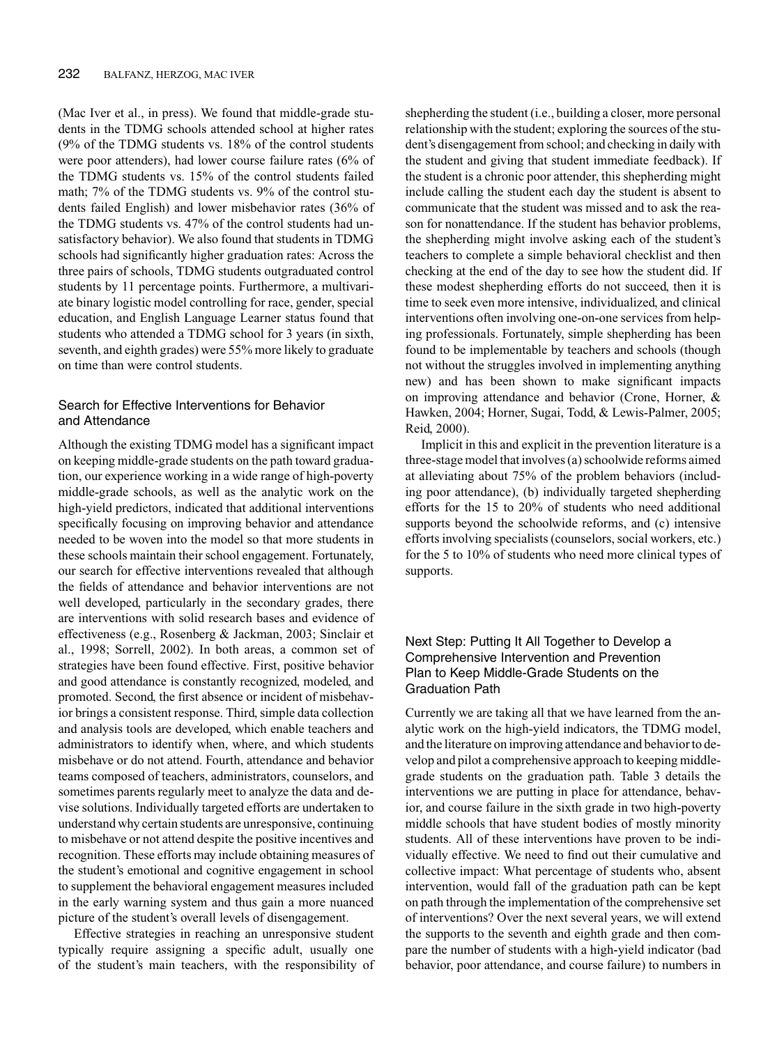(Mac Iver et al., in press). We found that middle-grade students in the TDMG schools attended school at higher rates (9% of the TDMG students vs. 18% of the control students were poor attenders), had lower course failure rates (6% of the TDMG students vs. 15% of the control students failed math; 7% of the TDMG students vs. 9% of the control students failed English) and lower misbehavior rates (36% of the TDMG students vs. 47% of the control students had unsatisfactory behavior). We also found that students in TDMG schools had significantly higher graduation rates: Across the three pairs of schools, TDMG students outgraduated control students by 11 percentage points. Furthermore, a multivariate binary logistic model controlling for race, gender, special education, and English Language Learner status found that students who attended a TDMG school for 3 years (in sixth, seventh, and eighth grades) were 55% more likely to graduate on time than were control students.

# Search for Effective Interventions for Behavior and Attendance

Although the existing TDMG model has a significant impact on keeping middle-grade students on the path toward graduation, our experience working in a wide range of high-poverty middle-grade schools, as well as the analytic work on the high-yield predictors, indicated that additional interventions specifically focusing on improving behavior and attendance needed to be woven into the model so that more students in these schools maintain their school engagement. Fortunately, our search for effective interventions revealed that although the fields of attendance and behavior interventions are not well developed, particularly in the secondary grades, there are interventions with solid research bases and evidence of effectiveness (e.g., Rosenberg & Jackman, 2003; Sinclair et al., 1998; Sorrell, 2002). In both areas, a common set of strategies have been found effective. First, positive behavior and good attendance is constantly recognized, modeled, and promoted. Second, the first absence or incident of misbehavior brings a consistent response. Third, simple data collection and analysis tools are developed, which enable teachers and administrators to identify when, where, and which students misbehave or do not attend. Fourth, attendance and behavior teams composed of teachers, administrators, counselors, and sometimes parents regularly meet to analyze the data and devise solutions. Individually targeted efforts are undertaken to understand why certain students are unresponsive, continuing to misbehave or not attend despite the positive incentives and recognition. These efforts may include obtaining measures of the student's emotional and cognitive engagement in school to supplement the behavioral engagement measures included in the early warning system and thus gain a more nuanced picture of the student's overall levels of disengagement.

Effective strategies in reaching an unresponsive student typically require assigning a specific adult, usually one of the student's main teachers, with the responsibility of shepherding the student (i.e., building a closer, more personal relationship with the student; exploring the sources of the student's disengagement from school; and checking in daily with the student and giving that student immediate feedback). If the student is a chronic poor attender, this shepherding might include calling the student each day the student is absent to communicate that the student was missed and to ask the reason for nonattendance. If the student has behavior problems, the shepherding might involve asking each of the student's teachers to complete a simple behavioral checklist and then checking at the end of the day to see how the student did. If these modest shepherding efforts do not succeed, then it is time to seek even more intensive, individualized, and clinical interventions often involving one-on-one services from helping professionals. Fortunately, simple shepherding has been found to be implementable by teachers and schools (though not without the struggles involved in implementing anything new) and has been shown to make significant impacts on improving attendance and behavior (Crone, Horner, & Hawken, 2004; Horner, Sugai, Todd, & Lewis-Palmer, 2005; Reid, 2000).

Implicit in this and explicit in the prevention literature is a three-stage model that involves (a) schoolwide reforms aimed at alleviating about 75% of the problem behaviors (including poor attendance), (b) individually targeted shepherding efforts for the 15 to 20% of students who need additional supports beyond the schoolwide reforms, and (c) intensive efforts involving specialists (counselors, social workers, etc.) for the 5 to 10% of students who need more clinical types of supports.

# Next Step: Putting It All Together to Develop a Comprehensive Intervention and Prevention Plan to Keep Middle-Grade Students on the Graduation Path

Currently we are taking all that we have learned from the analytic work on the high-yield indicators, the TDMG model, and the literature on improving attendance and behavior to develop and pilot a comprehensive approach to keeping middlegrade students on the graduation path. Table 3 details the interventions we are putting in place for attendance, behavior, and course failure in the sixth grade in two high-poverty middle schools that have student bodies of mostly minority students. All of these interventions have proven to be individually effective. We need to find out their cumulative and collective impact: What percentage of students who, absent intervention, would fall of the graduation path can be kept on path through the implementation of the comprehensive set of interventions? Over the next several years, we will extend the supports to the seventh and eighth grade and then compare the number of students with a high-yield indicator (bad behavior, poor attendance, and course failure) to numbers in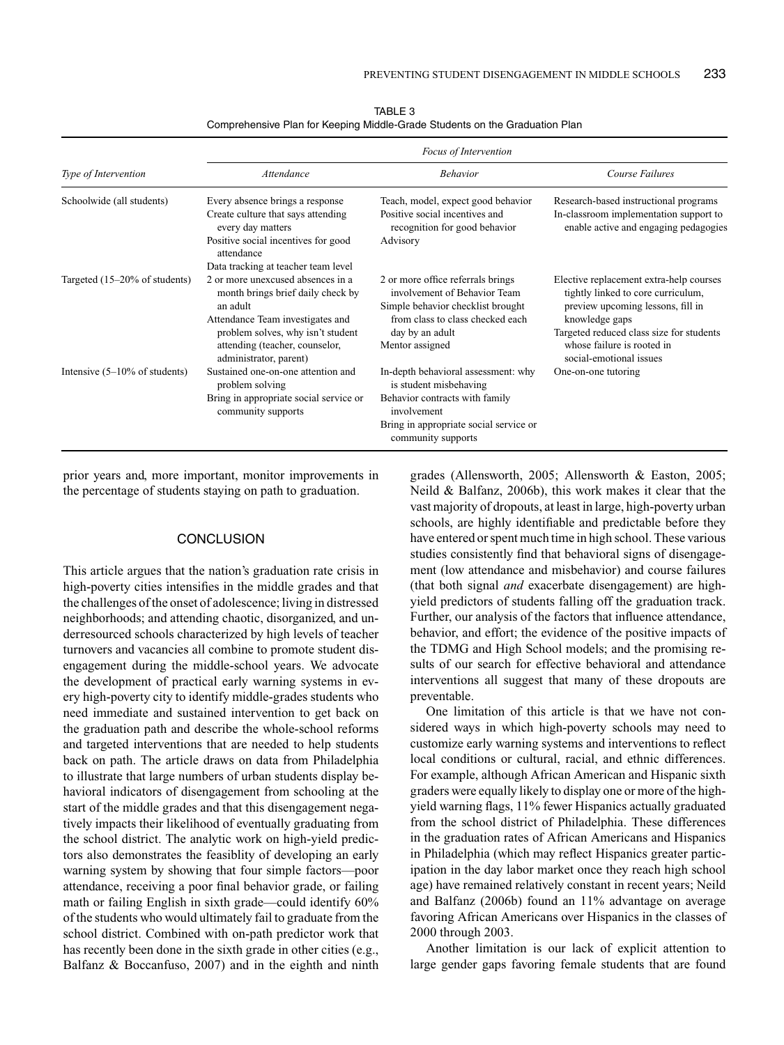|                                          | Focus of Intervention                                                                                                                                                                                                   |                                                                                                                                                                                  |                                                                                                                                                                                                                                           |  |  |
|------------------------------------------|-------------------------------------------------------------------------------------------------------------------------------------------------------------------------------------------------------------------------|----------------------------------------------------------------------------------------------------------------------------------------------------------------------------------|-------------------------------------------------------------------------------------------------------------------------------------------------------------------------------------------------------------------------------------------|--|--|
| Type of Intervention                     | Attendance                                                                                                                                                                                                              | <b>Behavior</b>                                                                                                                                                                  | Course Failures                                                                                                                                                                                                                           |  |  |
| Schoolwide (all students)                | Every absence brings a response<br>Create culture that says attending<br>every day matters<br>Positive social incentives for good<br>attendance<br>Data tracking at teacher team level                                  | Teach, model, expect good behavior<br>Positive social incentives and<br>recognition for good behavior<br>Advisory                                                                | Research-based instructional programs<br>In-classroom implementation support to<br>enable active and engaging pedagogies                                                                                                                  |  |  |
| Targeted (15–20% of students)            | 2 or more unexcused absences in a<br>month brings brief daily check by<br>an adult<br>Attendance Team investigates and<br>problem solves, why isn't student<br>attending (teacher, counselor,<br>administrator, parent) | 2 or more office referrals brings<br>involvement of Behavior Team<br>Simple behavior checklist brought<br>from class to class checked each<br>day by an adult<br>Mentor assigned | Elective replacement extra-help courses<br>tightly linked to core curriculum,<br>preview upcoming lessons, fill in<br>knowledge gaps<br>Targeted reduced class size for students<br>whose failure is rooted in<br>social-emotional issues |  |  |
| Intensive $(5-10\% \text{ of students})$ | Sustained one-on-one attention and<br>problem solving<br>Bring in appropriate social service or<br>community supports                                                                                                   | In-depth behavioral assessment: why<br>is student misbehaving<br>Behavior contracts with family<br>involvement<br>Bring in appropriate social service or<br>community supports   | One-on-one tutoring                                                                                                                                                                                                                       |  |  |

| TABLE 3                                                                     |
|-----------------------------------------------------------------------------|
| Comprehensive Plan for Keeping Middle-Grade Students on the Graduation Plan |

prior years and, more important, monitor improvements in the percentage of students staying on path to graduation.

#### **CONCLUSION**

This article argues that the nation's graduation rate crisis in high-poverty cities intensifies in the middle grades and that the challenges of the onset of adolescence; living in distressed neighborhoods; and attending chaotic, disorganized, and underresourced schools characterized by high levels of teacher turnovers and vacancies all combine to promote student disengagement during the middle-school years. We advocate the development of practical early warning systems in every high-poverty city to identify middle-grades students who need immediate and sustained intervention to get back on the graduation path and describe the whole-school reforms and targeted interventions that are needed to help students back on path. The article draws on data from Philadelphia to illustrate that large numbers of urban students display behavioral indicators of disengagement from schooling at the start of the middle grades and that this disengagement negatively impacts their likelihood of eventually graduating from the school district. The analytic work on high-yield predictors also demonstrates the feasiblity of developing an early warning system by showing that four simple factors—poor attendance, receiving a poor final behavior grade, or failing math or failing English in sixth grade—could identify 60% of the students who would ultimately fail to graduate from the school district. Combined with on-path predictor work that has recently been done in the sixth grade in other cities (e.g., Balfanz & Boccanfuso, 2007) and in the eighth and ninth

grades (Allensworth, 2005; Allensworth & Easton, 2005; Neild & Balfanz, 2006b), this work makes it clear that the vast majority of dropouts, at least in large, high-poverty urban schools, are highly identifiable and predictable before they have entered or spent much time in high school. These various studies consistently find that behavioral signs of disengagement (low attendance and misbehavior) and course failures (that both signal *and* exacerbate disengagement) are highyield predictors of students falling off the graduation track. Further, our analysis of the factors that influence attendance, behavior, and effort; the evidence of the positive impacts of the TDMG and High School models; and the promising results of our search for effective behavioral and attendance interventions all suggest that many of these dropouts are preventable.

One limitation of this article is that we have not considered ways in which high-poverty schools may need to customize early warning systems and interventions to reflect local conditions or cultural, racial, and ethnic differences. For example, although African American and Hispanic sixth graders were equally likely to display one or more of the highyield warning flags, 11% fewer Hispanics actually graduated from the school district of Philadelphia. These differences in the graduation rates of African Americans and Hispanics in Philadelphia (which may reflect Hispanics greater participation in the day labor market once they reach high school age) have remained relatively constant in recent years; Neild and Balfanz (2006b) found an 11% advantage on average favoring African Americans over Hispanics in the classes of 2000 through 2003.

Another limitation is our lack of explicit attention to large gender gaps favoring female students that are found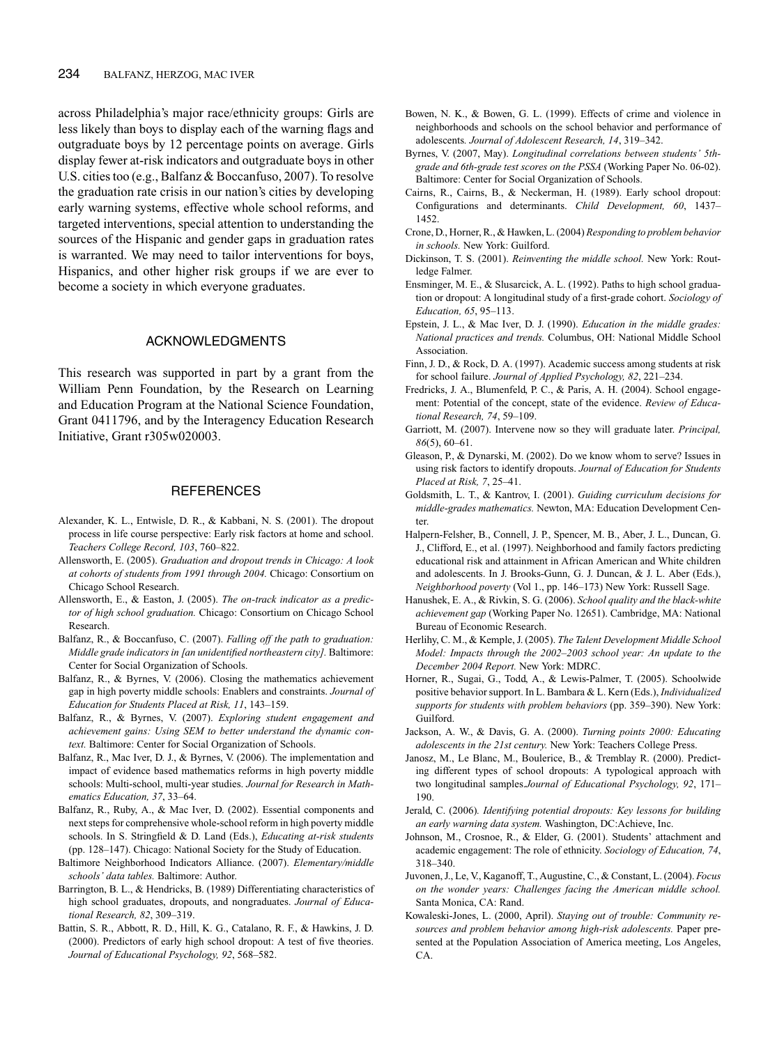across Philadelphia's major race/ethnicity groups: Girls are less likely than boys to display each of the warning flags and outgraduate boys by 12 percentage points on average. Girls display fewer at-risk indicators and outgraduate boys in other U.S. cities too (e.g., Balfanz & Boccanfuso, 2007). To resolve the graduation rate crisis in our nation's cities by developing early warning systems, effective whole school reforms, and targeted interventions, special attention to understanding the sources of the Hispanic and gender gaps in graduation rates is warranted. We may need to tailor interventions for boys, Hispanics, and other higher risk groups if we are ever to become a society in which everyone graduates.

## ACKNOWLEDGMENTS

This research was supported in part by a grant from the William Penn Foundation, by the Research on Learning and Education Program at the National Science Foundation, Grant 0411796, and by the Interagency Education Research Initiative, Grant r305w020003.

#### **REFERENCES**

- Alexander, K. L., Entwisle, D. R., & Kabbani, N. S. (2001). The dropout process in life course perspective: Early risk factors at home and school. *Teachers College Record, 103*, 760–822.
- Allensworth, E. (2005). *Graduation and dropout trends in Chicago: A look at cohorts of students from 1991 through 2004.* Chicago: Consortium on Chicago School Research.
- Allensworth, E., & Easton, J. (2005). *The on-track indicator as a predictor of high school graduation.* Chicago: Consortium on Chicago School Research.
- Balfanz, R., & Boccanfuso, C. (2007). *Falling off the path to graduation: Middle grade indicators in [an unidentified northeastern city].* Baltimore: Center for Social Organization of Schools.
- Balfanz, R., & Byrnes, V. (2006). Closing the mathematics achievement gap in high poverty middle schools: Enablers and constraints. *Journal of Education for Students Placed at Risk, 11*, 143–159.
- Balfanz, R., & Byrnes, V. (2007). *Exploring student engagement and achievement gains: Using SEM to better understand the dynamic context.* Baltimore: Center for Social Organization of Schools.
- Balfanz, R., Mac Iver, D. J., & Byrnes, V. (2006). The implementation and impact of evidence based mathematics reforms in high poverty middle schools: Multi-school, multi-year studies. *Journal for Research in Mathematics Education, 37*, 33–64.
- Balfanz, R., Ruby, A., & Mac Iver, D. (2002). Essential components and next steps for comprehensive whole-school reform in high poverty middle schools. In S. Stringfield & D. Land (Eds.), *Educating at-risk students* (pp. 128–147). Chicago: National Society for the Study of Education.
- Baltimore Neighborhood Indicators Alliance. (2007). *Elementary/middle schools' data tables.* Baltimore: Author.
- Barrington, B. L., & Hendricks, B. (1989) Differentiating characteristics of high school graduates, dropouts, and nongraduates. *Journal of Educational Research, 82*, 309–319.
- Battin, S. R., Abbott, R. D., Hill, K. G., Catalano, R. F., & Hawkins, J. D. (2000). Predictors of early high school dropout: A test of five theories. *Journal of Educational Psychology, 92*, 568–582.
- Bowen, N. K., & Bowen, G. L. (1999). Effects of crime and violence in neighborhoods and schools on the school behavior and performance of adolescents*. Journal of Adolescent Research, 14*, 319–342.
- Byrnes, V. (2007, May). *Longitudinal correlations between students' 5thgrade and 6th-grade test scores on the PSSA* (Working Paper No. 06-02). Baltimore: Center for Social Organization of Schools.
- Cairns, R., Cairns, B., & Neckerman, H. (1989). Early school dropout: Configurations and determinants. *Child Development, 60*, 1437– 1452.
- Crone, D., Horner, R., & Hawken, L. (2004) *Responding to problem behavior in schools.* New York: Guilford.
- Dickinson, T. S. (2001). *Reinventing the middle school.* New York: Routledge Falmer.
- Ensminger, M. E., & Slusarcick, A. L. (1992). Paths to high school graduation or dropout: A longitudinal study of a first-grade cohort. *Sociology of Education, 65*, 95–113.
- Epstein, J. L., & Mac Iver, D. J. (1990). *Education in the middle grades: National practices and trends.* Columbus, OH: National Middle School Association.
- Finn, J. D., & Rock, D. A. (1997). Academic success among students at risk for school failure. *Journal of Applied Psychology, 82*, 221–234.
- Fredricks, J. A., Blumenfeld, P. C., & Paris, A. H. (2004). School engagement: Potential of the concept, state of the evidence. *Review of Educational Research, 74*, 59–109.
- Garriott, M. (2007). Intervene now so they will graduate later. *Principal, 86*(5), 60–61.
- Gleason, P., & Dynarski, M. (2002). Do we know whom to serve? Issues in using risk factors to identify dropouts. *Journal of Education for Students Placed at Risk, 7*, 25–41.
- Goldsmith, L. T., & Kantrov, I. (2001). *Guiding curriculum decisions for middle-grades mathematics.* Newton, MA: Education Development Center.
- Halpern-Felsher, B., Connell, J. P., Spencer, M. B., Aber, J. L., Duncan, G. J., Clifford, E., et al. (1997). Neighborhood and family factors predicting educational risk and attainment in African American and White children and adolescents. In J. Brooks-Gunn, G. J. Duncan, & J. L. Aber (Eds.), *Neighborhood poverty* (Vol 1., pp. 146–173) New York: Russell Sage.
- Hanushek, E. A., & Rivkin, S. G. (2006). *School quality and the black-white achievement gap* (Working Paper No. 12651). Cambridge, MA: National Bureau of Economic Research.
- Herlihy, C. M., & Kemple, J. (2005). *The Talent Development Middle School Model: Impacts through the 2002–2003 school year: An update to the December 2004 Report.* New York: MDRC.
- Horner, R., Sugai, G., Todd, A., & Lewis-Palmer, T. (2005). Schoolwide positive behavior support. In L. Bambara & L. Kern (Eds.), *Individualized supports for students with problem behaviors* (pp. 359–390). New York: Guilford.
- Jackson, A. W., & Davis, G. A. (2000). *Turning points 2000: Educating adolescents in the 21st century.* New York: Teachers College Press.
- Janosz, M., Le Blanc, M., Boulerice, B., & Tremblay R. (2000). Predicting different types of school dropouts: A typological approach with two longitudinal samples.*Journal of Educational Psychology, 92*, 171– 190.
- Jerald, C. (2006)*. Identifying potential dropouts: Key lessons for building an early warning data system.* Washington, DC:Achieve, Inc.
- Johnson, M., Crosnoe, R., & Elder, G. (2001). Students' attachment and academic engagement: The role of ethnicity. *Sociology of Education, 74*, 318–340.
- Juvonen, J., Le, V., Kaganoff, T., Augustine, C., & Constant, L. (2004). *Focus on the wonder years: Challenges facing the American middle school.* Santa Monica, CA: Rand.
- Kowaleski-Jones, L. (2000, April). *Staying out of trouble: Community resources and problem behavior among high-risk adolescents.* Paper presented at the Population Association of America meeting, Los Angeles, CA.